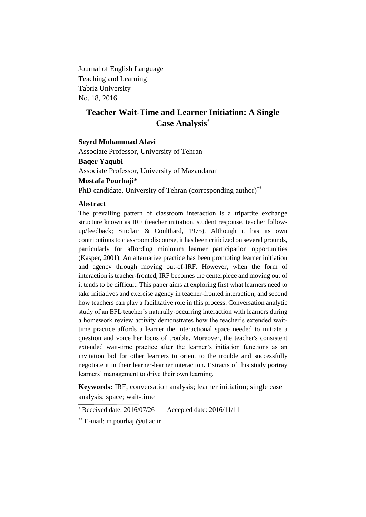Journal of English Language Teaching and Learning Tabriz University No. 18, 2016

# **Teacher Wait-Time and Learner Initiation: A Single Case Analysis**\*

#### **Seyed Mohammad Alavi**

Associate Professor, University of Tehran **Baqer Yaqubi** Associate Professor, University of Mazandaran **Mostafa Pourhaji\*** PhD candidate, University of Tehran (corresponding author)<sup>\*\*</sup>

#### **Abstract**

The prevailing pattern of classroom interaction is a tripartite exchange structure known as IRF (teacher initiation, student response, teacher followup/feedback; Sinclair & Coulthard, 1975). Although it has its own contributions to classroom discourse, it has been criticized on several grounds, particularly for affording minimum learner participation opportunities (Kasper, 2001). An alternative practice has been promoting learner initiation and agency through moving out-of-IRF. However, when the form of interaction is teacher-fronted, IRF becomes the centerpiece and moving out of it tends to be difficult. This paper aims at exploring first what learners need to take initiatives and exercise agency in teacher-fronted interaction, and second how teachers can play a facilitative role in this process. Conversation analytic study of an EFL teacher's naturally-occurring interaction with learners during a homework review activity demonstrates how the teacher's extended waittime practice affords a learner the interactional space needed to initiate a question and voice her locus of trouble. Moreover, the teacher's consistent extended wait-time practice after the learner's initiation functions as an invitation bid for other learners to orient to the trouble and successfully negotiate it in their learner-learner interaction. Extracts of this study portray learners' management to drive their own learning.

**Keywords:** IRF; conversation analysis; learner initiation; single case analysis; space; wait-time

 $*$  Received date: 2016/07/26 Accepted date: 2016/11/11

<sup>\*\*</sup> E-mail: m.pourhaji@ut.ac.ir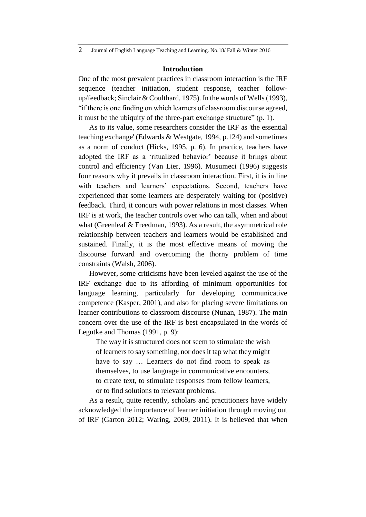#### **Introduction**

One of the most prevalent practices in classroom interaction is the IRF sequence (teacher initiation, student response, teacher followup/feedback; Sinclair & Coulthard, 1975). In the words of Wells (1993), "if there is one finding on which learners of classroom discourse agreed, it must be the ubiquity of the three-part exchange structure" (p. 1).

As to its value, some researchers consider the IRF as 'the essential teaching exchange' (Edwards & Westgate, 1994, p.124) and sometimes as a norm of conduct (Hicks, 1995, p. 6). In practice, teachers have adopted the IRF as a 'ritualized behavior' because it brings about control and efficiency (Van Lier, 1996). Musumeci (1996) suggests four reasons why it prevails in classroom interaction. First, it is in line with teachers and learners' expectations. Second, teachers have experienced that some learners are desperately waiting for (positive) feedback. Third, it concurs with power relations in most classes. When IRF is at work, the teacher controls over who can talk, when and about what (Greenleaf & Freedman, 1993). As a result, the asymmetrical role relationship between teachers and learners would be established and sustained. Finally, it is the most effective means of moving the discourse forward and overcoming the thorny problem of time constraints (Walsh, 2006).

However, some criticisms have been leveled against the use of the IRF exchange due to its affording of minimum opportunities for language learning, particularly for developing communicative competence (Kasper, 2001), and also for placing severe limitations on learner contributions to classroom discourse (Nunan, 1987). The main concern over the use of the IRF is best encapsulated in the words of Legutke and Thomas (1991, p. 9):

The way it is structured does not seem to stimulate the wish of learners to say something, nor does it tap what they might have to say ... Learners do not find room to speak as themselves, to use language in communicative encounters, to create text, to stimulate responses from fellow learners, or to find solutions to relevant problems.

As a result, quite recently, scholars and practitioners have widely acknowledged the importance of learner initiation through moving out of IRF (Garton 2012; Waring, 2009, 2011). It is believed that when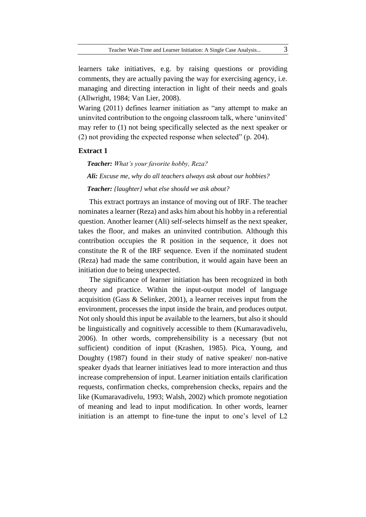learners take initiatives, e.g. by raising questions or providing comments, they are actually paving the way for exercising agency, i.e. managing and directing interaction in light of their needs and goals (Allwright, 1984; Van Lier, 2008).

Waring (2011) defines learner initiation as "any attempt to make an uninvited contribution to the ongoing classroom talk, where 'uninvited' may refer to (1) not being specifically selected as the next speaker or (2) not providing the expected response when selected" (p. 204).

### **Extract 1**

*Teacher: What's your favorite hobby, Reza?*

*Ali: Excuse me, why do all teachers always ask about our hobbies?*

#### *Teacher: {laughter} what else should we ask about?*

This extract portrays an instance of moving out of IRF. The teacher nominates a learner (Reza) and asks him about his hobby in a referential question. Another learner (Ali) self-selects himself as the next speaker, takes the floor, and makes an uninvited contribution. Although this contribution occupies the R position in the sequence, it does not constitute the R of the IRF sequence. Even if the nominated student (Reza) had made the same contribution, it would again have been an initiation due to being unexpected.

The significance of learner initiation has been recognized in both theory and practice. Within the input-output model of language acquisition (Gass & Selinker, 2001), a learner receives input from the environment, processes the input inside the brain, and produces output. Not only should this input be available to the learners, but also it should be linguistically and cognitively accessible to them (Kumaravadivelu, 2006). In other words, comprehensibility is a necessary (but not sufficient) condition of input (Krashen, 1985). Pica, Young, and Doughty (1987) found in their study of native speaker/ non-native speaker dyads that learner initiatives lead to more interaction and thus increase comprehension of input. Learner initiation entails clarification requests, confirmation checks, comprehension checks, repairs and the like (Kumaravadivelu, 1993; Walsh, 2002) which promote negotiation of meaning and lead to input modification. In other words, learner initiation is an attempt to fine-tune the input to one's level of L2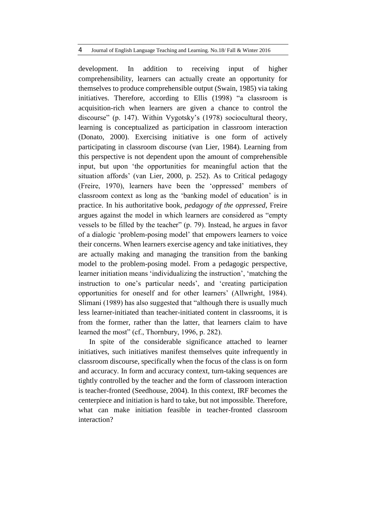development. In addition to receiving input of higher comprehensibility, learners can actually create an opportunity for themselves to produce comprehensible output (Swain, 1985) via taking initiatives. Therefore, according to Ellis (1998) "a classroom is acquisition-rich when learners are given a chance to control the discourse" (p. 147). Within Vygotsky's (1978) sociocultural theory, learning is conceptualized as participation in classroom interaction (Donato, 2000). Exercising initiative is one form of actively participating in classroom discourse (van Lier, 1984). Learning from this perspective is not dependent upon the amount of comprehensible input, but upon 'the opportunities for meaningful action that the situation affords' (van Lier, 2000, p. 252). As to Critical pedagogy (Freire, 1970), learners have been the 'oppressed' members of classroom context as long as the 'banking model of education' is in practice. In his authoritative book, *pedagogy of the oppressed*, Freire argues against the model in which learners are considered as "empty vessels to be filled by the teacher" (p. 79). Instead, he argues in favor of a dialogic 'problem-posing model' that empowers learners to voice their concerns. When learners exercise agency and take initiatives, they are actually making and managing the transition from the banking model to the problem-posing model. From a pedagogic perspective, learner initiation means 'individualizing the instruction', 'matching the instruction to one's particular needs', and 'creating participation opportunities for oneself and for other learners' (Allwright, 1984). Slimani (1989) has also suggested that "although there is usually much less learner-initiated than teacher-initiated content in classrooms, it is from the former, rather than the latter, that learners claim to have learned the most" (cf., Thornbury, 1996, p. 282).

In spite of the considerable significance attached to learner initiatives, such initiatives manifest themselves quite infrequently in classroom discourse, specifically when the focus of the class is on form and accuracy. In form and accuracy context, turn-taking sequences are tightly controlled by the teacher and the form of classroom interaction is teacher-fronted (Seedhouse, 2004). In this context, IRF becomes the centerpiece and initiation is hard to take, but not impossible. Therefore, what can make initiation feasible in teacher-fronted classroom interaction?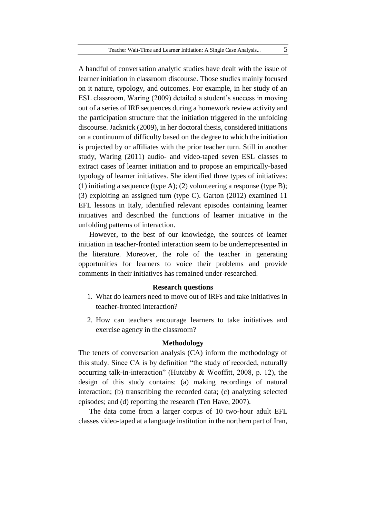A handful of conversation analytic studies have dealt with the issue of learner initiation in classroom discourse. Those studies mainly focused on it nature, typology, and outcomes. For example, in her study of an ESL classroom, Waring (2009) detailed a student's success in moving out of a series of IRF sequences during a homework review activity and the participation structure that the initiation triggered in the unfolding discourse. Jacknick (2009), in her doctoral thesis, considered initiations on a continuum of difficulty based on the degree to which the initiation is projected by or affiliates with the prior teacher turn. Still in another study, Waring (2011) audio- and video-taped seven ESL classes to extract cases of learner initiation and to propose an empirically-based typology of learner initiatives. She identified three types of initiatives: (1) initiating a sequence (type A); (2) volunteering a response (type B); (3) exploiting an assigned turn (type C). Garton (2012) examined 11 EFL lessons in Italy, identified relevant episodes containing learner initiatives and described the functions of learner initiative in the unfolding patterns of interaction.

However, to the best of our knowledge, the sources of learner initiation in teacher-fronted interaction seem to be underrepresented in the literature. Moreover, the role of the teacher in generating opportunities for learners to voice their problems and provide comments in their initiatives has remained under-researched.

#### **Research questions**

- 1. What do learners need to move out of IRFs and take initiatives in teacher-fronted interaction?
- 2. How can teachers encourage learners to take initiatives and exercise agency in the classroom?

#### **Methodology**

The tenets of conversation analysis (CA) inform the methodology of this study. Since CA is by definition "the study of recorded, naturally occurring talk-in-interaction" (Hutchby & Wooffitt, 2008, p. 12), the design of this study contains: (a) making recordings of natural interaction; (b) transcribing the recorded data; (c) analyzing selected episodes; and (d) reporting the research (Ten Have, 2007).

The data come from a larger corpus of 10 two-hour adult EFL classes video-taped at a language institution in the northern part of Iran,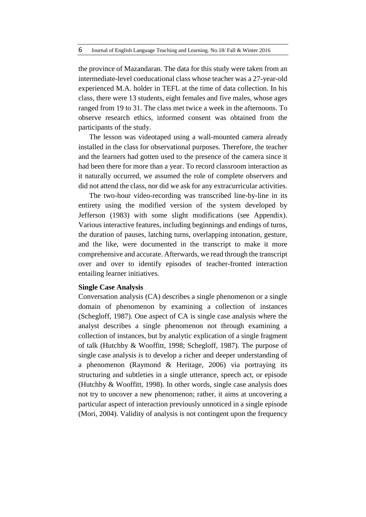the province of Mazandaran. The data for this study were taken from an intermediate-level coeducational class whose teacher was a 27-year-old experienced M.A. holder in TEFL at the time of data collection. In his class, there were 13 students, eight females and five males, whose ages ranged from 19 to 31. The class met twice a week in the afternoons. To observe research ethics, informed consent was obtained from the participants of the study.

The lesson was videotaped using a wall-mounted camera already installed in the class for observational purposes. Therefore, the teacher and the learners had gotten used to the presence of the camera since it had been there for more than a year. To record classroom interaction as it naturally occurred, we assumed the role of complete observers and did not attend the class, nor did we ask for any extracurricular activities.

The two-hour video-recording was transcribed line-by-line in its entirety using the modified version of the system developed by Jefferson (1983) with some slight modifications (see Appendix). Various interactive features, including beginnings and endings of turns, the duration of pauses, latching turns, overlapping intonation, gesture, and the like, were documented in the transcript to make it more comprehensive and accurate. Afterwards, we read through the transcript over and over to identify episodes of teacher-fronted interaction entailing learner initiatives.

#### **Single Case Analysis**

Conversation analysis (CA) describes a single phenomenon or a single domain of phenomenon by examining a collection of instances (Schegloff, 1987). One aspect of CA is single case analysis where the analyst describes a single phenomenon not through examining a collection of instances, but by analytic explication of a single fragment of talk (Hutchby & Wooffitt, 1998; Schegloff, 1987). The purpose of single case analysis is to develop a richer and deeper understanding of a phenomenon (Raymond & Heritage, 2006) via portraying its structuring and subtleties in a single utterance, speech act, or episode (Hutchby & Wooffitt, 1998). In other words, single case analysis does not try to uncover a new phenomenon; rather, it aims at uncovering a particular aspect of interaction previously unnoticed in a single episode (Mori, 2004). Validity of analysis is not contingent upon the frequency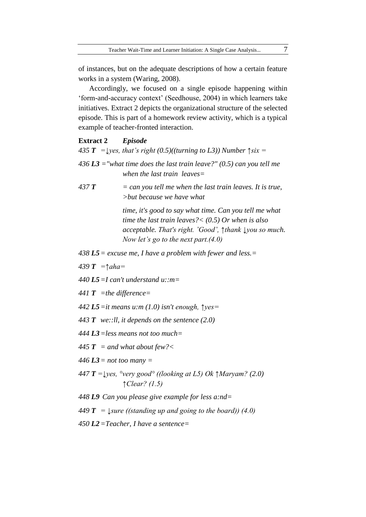of instances, but on the adequate descriptions of how a certain feature works in a system (Waring, 2008).

Accordingly, we focused on a single episode happening within 'form-and-accuracy context' (Seedhouse, 2004) in which learners take initiatives. Extract 2 depicts the organizational structure of the selected episode. This is part of a homework review activity, which is a typical example of teacher-fronted interaction.

### **Extract 2** *Episode*

*435*  $T = \frac{1}{e}$  *yes, that's right*  $(0.5)((turning to L3))$  *Number*  $\frac{1}{e}$  *Number* 

- *436 L3 ="what time does the last train leave?" (0.5) can you tell me when the last train leaves=*
- $437$  **T**  $=$  *can you tell me when the last train leaves. It is true, >but because we have what*

*time, it's good to say what time. Can you tell me what time the last train leaves?< (0.5) Or when is also acceptable. That's right. ˚Good˚, ↑thank ↓you so much. Now let's go to the next part.(4.0)*

- *438 L5= excuse me, I have a problem with fewer and less.=*
- *439 T =↑aha=*
- *440 L5=I can't understand u::m=*
- *441 T =the difference=*
- *442 L5=it means u:m (1.0) isn't enough, ↑yes=*

*443 T we::ll, it depends on the sentence (2.0)*

*444 L3=less means not too much=* 

445  $\mathbf{T}$  = and what about few? <

- *446 L3= not too many =*
- *447*  $T = \text{Jyes},$  °very good° ((looking at L5) Ok ↑ Maryam? (2.0) *↑Clear? (1.5)*

*448 L9 Can you please give example for less a:nd=*

 $449$  **T** =  $\frac{1}{3}$  *sure* ((standing up and going to the board)) (4.0)

*450 L2=Teacher, I have a sentence=*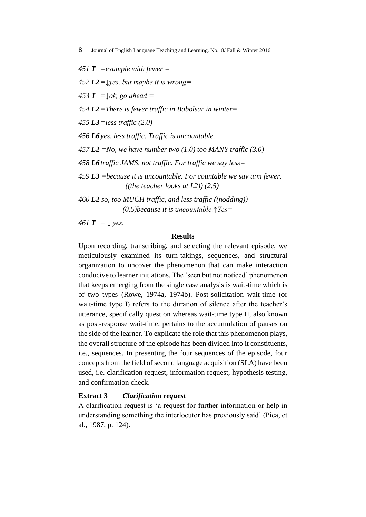*451 T =example with fewer =*

*452 L2=↓yes, but maybe it is wrong=*

*453 T =↓ok, go ahead =*

*454 L2=There is fewer traffic in Babolsar in winter=*

*455 L3=less traffic (2.0)*

*456 L6 yes, less traffic. Traffic is uncountable.* 

*457 L2 =No, we have number two (1.0) too MANY traffic (3.0)*

*458 L6 traffic JAMS, not traffic. For traffic we say less=* 

*459 L3 =because it is uncountable. For countable we say u:m fewer. ((the teacher looks at L2)) (2.5)*

*460 L2 so, too MUCH traffic, and less traffic ((nodding)) (0.5)because it is uncountable.↑Yes=*

*461 T = ↓ yes.* 

#### **Results**

Upon recording, transcribing, and selecting the relevant episode, we meticulously examined its turn-takings, sequences, and structural organization to uncover the phenomenon that can make interaction conducive to learner initiations. The 'seen but not noticed' phenomenon that keeps emerging from the single case analysis is wait-time which is of two types (Rowe, 1974a, 1974b). Post-solicitation wait-time (or wait-time type I) refers to the duration of silence after the teacher's utterance, specifically question whereas wait-time type II, also known as post-response wait-time, pertains to the accumulation of pauses on the side of the learner. To explicate the role that this phenomenon plays, the overall structure of the episode has been divided into it constituents, i.e., sequences. In presenting the four sequences of the episode, four concepts from the field of second language acquisition (SLA) have been used, i.e. clarification request, information request, hypothesis testing, and confirmation check.

### **Extract 3** *Clarification request*

A clarification request is 'a request for further information or help in understanding something the interlocutor has previously said' (Pica, et al., 1987, p. 124).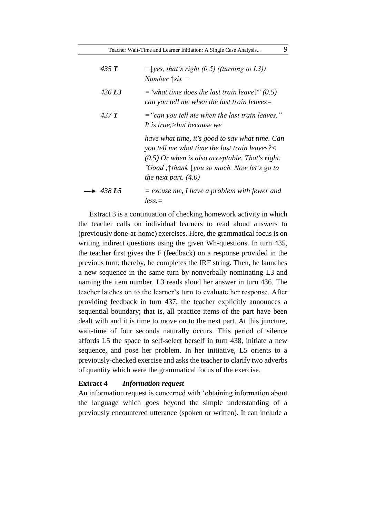| 435 $T$ | $=$ Lyes, that's right (0.5) ((turning to L3))<br>Number $\uparrow$ six =                                                                                                                                                                      |
|---------|------------------------------------------------------------------------------------------------------------------------------------------------------------------------------------------------------------------------------------------------|
| 436L3   | $=$ "what time does the last train leave?" (0.5)<br>can you tell me when the last train leaves=                                                                                                                                                |
| 437 $T$ | $=$ "can you tell me when the last train leaves."<br>It is true, > but because we                                                                                                                                                              |
|         | have what time, it's good to say what time. Can<br>you tell me what time the last train leaves?<<br>$(0.5)$ Or when is also acceptable. That's right.<br><i>"Good"</i> , <i>†thank Jyou so much. Now let's go to</i><br>the next part. $(4.0)$ |
| 438 L5  | $=$ excuse me, I have a problem with fewer and<br>$less =$                                                                                                                                                                                     |

Extract 3 is a continuation of checking homework activity in which the teacher calls on individual learners to read aloud answers to (previously done-at-home) exercises. Here, the grammatical focus is on writing indirect questions using the given Wh-questions. In turn 435, the teacher first gives the F (feedback) on a response provided in the previous turn; thereby, he completes the IRF string. Then, he launches a new sequence in the same turn by nonverbally nominating L3 and naming the item number. L3 reads aloud her answer in turn 436. The teacher latches on to the learner's turn to evaluate her response. After providing feedback in turn 437, the teacher explicitly announces a sequential boundary; that is, all practice items of the part have been dealt with and it is time to move on to the next part. At this juncture, wait-time of four seconds naturally occurs. This period of silence affords L5 the space to self-select herself in turn 438, initiate a new sequence, and pose her problem. In her initiative, L5 orients to a previously-checked exercise and asks the teacher to clarify two adverbs of quantity which were the grammatical focus of the exercise.

### **Extract 4** *Information request*

An information request is concerned with 'obtaining information about the language which goes beyond the simple understanding of a previously encountered utterance (spoken or written). It can include a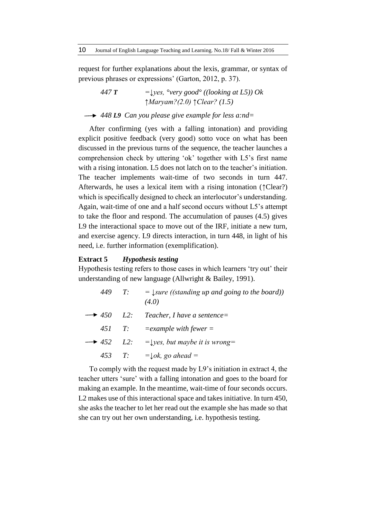request for further explanations about the lexis, grammar, or syntax of previous phrases or expressions' (Garton, 2012, p. 37).

447 **T** = 
$$
\downarrow
$$
yes, <sup>o</sup>very good<sup>o</sup> ((looking at L5)) Ok  
\n $\uparrow$  Maryam? (2.0)  $\uparrow$  Clear? (1.5)

#### *448 L9 Can you please give example for less a:nd=*

After confirming (yes with a falling intonation) and providing explicit positive feedback (very good) sotto voce on what has been discussed in the previous turns of the sequence, the teacher launches a comprehension check by uttering 'ok' together with L5's first name with a rising intonation. L5 does not latch on to the teacher's initiation. The teacher implements wait-time of two seconds in turn 447. Afterwards, he uses a lexical item with a rising intonation (*↑*Clear?) which is specifically designed to check an interlocutor's understanding. Again, wait-time of one and a half second occurs without L5's attempt to take the floor and respond. The accumulation of pauses (4.5) gives L9 the interactional space to move out of the IRF, initiate a new turn, and exercise agency. L9 directs interaction, in turn 448, in light of his need, i.e. further information (exemplification).

#### **Extract 5** *Hypothesis testing*

Hypothesis testing refers to those cases in which learners 'try out' their understanding of new language (Allwright & Bailey, 1991).

| 449                   | $T$ :    | $=$ $\downarrow$ sure ((standing up and going to the board))<br>(4.0) |
|-----------------------|----------|-----------------------------------------------------------------------|
|                       |          | $\rightarrow$ 450 L2: Teacher, I have a sentence=                     |
|                       |          | 451 T: $=$ example with fewer $=$                                     |
| $\rightarrow$ 452 L2: |          | $=$ Lyes, but maybe it is wrong =                                     |
|                       | $453$ T: | $=$ $\downarrow$ ok, go ahead $=$                                     |

To comply with the request made by L9's initiation in extract 4, the teacher utters 'sure' with a falling intonation and goes to the board for making an example. In the meantime, wait-time of four seconds occurs. L2 makes use of this interactional space and takes initiative. In turn 450, she asks the teacher to let her read out the example she has made so that she can try out her own understanding, i.e. hypothesis testing.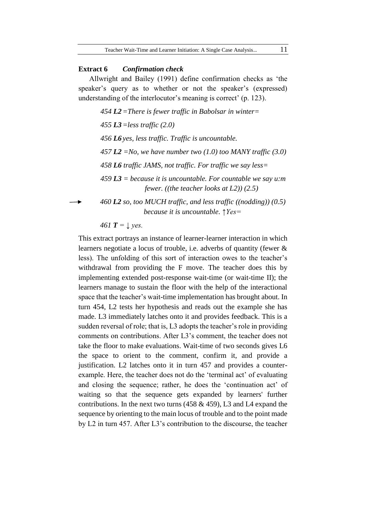#### **Extract 6** *Confirmation check*

Allwright and Bailey (1991) define confirmation checks as 'the speaker's query as to whether or not the speaker's (expressed) understanding of the interlocutor's meaning is correct' (p. 123).

> *L2=There is fewer traffic in Babolsar in winter= L3=less traffic (2.0) L6 yes, less traffic. Traffic is uncountable. L2 =No, we have number two (1.0) too MANY traffic (3.0) L6 traffic JAMS, not traffic. For traffic we say less= L3 = because it is uncountable. For countable we say u:m fewer. ((the teacher looks at L2)) (2.5) L2 so, too MUCH traffic, and less traffic ((nodding)) (0.5)*

*because it is uncountable. ↑Yes=*

*461*  $T = \frac{1}{2}$  yes.

This extract portrays an instance of learner-learner interaction in which learners negotiate a locus of trouble, i.e. adverbs of quantity (fewer & less). The unfolding of this sort of interaction owes to the teacher's withdrawal from providing the F move. The teacher does this by implementing extended post-response wait-time (or wait-time II); the learners manage to sustain the floor with the help of the interactional space that the teacher's wait-time implementation has brought about. In turn 454, L2 tests her hypothesis and reads out the example she has made. L3 immediately latches onto it and provides feedback. This is a sudden reversal of role; that is, L3 adopts the teacher's role in providing comments on contributions. After L3's comment, the teacher does not take the floor to make evaluations. Wait-time of two seconds gives L6 the space to orient to the comment, confirm it, and provide a justification. L2 latches onto it in turn 457 and provides a counterexample. Here, the teacher does not do the 'terminal act' of evaluating and closing the sequence; rather, he does the 'continuation act' of waiting so that the sequence gets expanded by learners' further contributions. In the next two turns  $(458 \& 459)$ , L3 and L4 expand the sequence by orienting to the main locus of trouble and to the point made by L2 in turn 457. After L3's contribution to the discourse, the teacher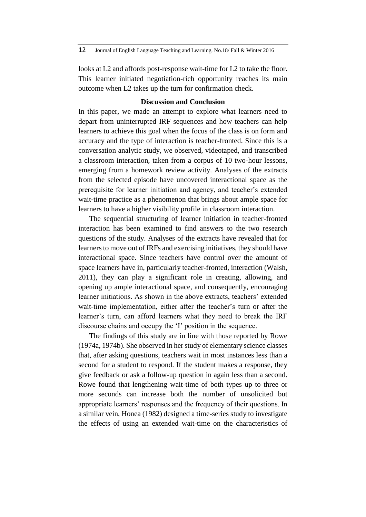looks at L2 and affords post-response wait-time for L2 to take the floor. This learner initiated negotiation-rich opportunity reaches its main outcome when L2 takes up the turn for confirmation check.

#### **Discussion and Conclusion**

In this paper, we made an attempt to explore what learners need to depart from uninterrupted IRF sequences and how teachers can help learners to achieve this goal when the focus of the class is on form and accuracy and the type of interaction is teacher-fronted. Since this is a conversation analytic study, we observed, videotaped, and transcribed a classroom interaction, taken from a corpus of 10 two-hour lessons, emerging from a homework review activity. Analyses of the extracts from the selected episode have uncovered interactional space as the prerequisite for learner initiation and agency, and teacher's extended wait-time practice as a phenomenon that brings about ample space for learners to have a higher visibility profile in classroom interaction.

The sequential structuring of learner initiation in teacher-fronted interaction has been examined to find answers to the two research questions of the study. Analyses of the extracts have revealed that for learners to move out of IRFs and exercising initiatives, they should have interactional space. Since teachers have control over the amount of space learners have in, particularly teacher-fronted, interaction (Walsh, 2011), they can play a significant role in creating, allowing, and opening up ample interactional space, and consequently, encouraging learner initiations. As shown in the above extracts, teachers' extended wait-time implementation, either after the teacher's turn or after the learner's turn, can afford learners what they need to break the IRF discourse chains and occupy the 'I' position in the sequence.

The findings of this study are in line with those reported by Rowe (1974a, 1974b). She observed in her study of elementary science classes that, after asking questions, teachers wait in most instances less than a second for a student to respond. If the student makes a response, they give feedback or ask a follow-up question in again less than a second. Rowe found that lengthening wait-time of both types up to three or more seconds can increase both the number of unsolicited but appropriate learners' responses and the frequency of their questions. In a similar vein, Honea (1982) designed a time-series study to investigate the effects of using an extended wait-time on the characteristics of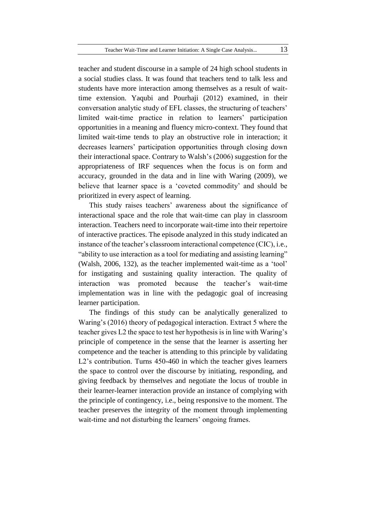teacher and student discourse in a sample of 24 high school students in a social studies class. It was found that teachers tend to talk less and students have more interaction among themselves as a result of waittime extension. Yaqubi and Pourhaji (2012) examined, in their conversation analytic study of EFL classes, the structuring of teachers' limited wait-time practice in relation to learners' participation opportunities in a meaning and fluency micro-context. They found that limited wait-time tends to play an obstructive role in interaction; it decreases learners' participation opportunities through closing down their interactional space. Contrary to Walsh's (2006) suggestion for the appropriateness of IRF sequences when the focus is on form and accuracy, grounded in the data and in line with Waring (2009), we believe that learner space is a 'coveted commodity' and should be prioritized in every aspect of learning.

This study raises teachers' awareness about the significance of interactional space and the role that wait-time can play in classroom interaction. Teachers need to incorporate wait-time into their repertoire of interactive practices. The episode analyzed in this study indicated an instance of the teacher's classroom interactional competence (CIC), i.e., "ability to use interaction as a tool for mediating and assisting learning" (Walsh, 2006, 132), as the teacher implemented wait-time as a 'tool' for instigating and sustaining quality interaction. The quality of interaction was promoted because the teacher's wait-time implementation was in line with the pedagogic goal of increasing learner participation.

The findings of this study can be analytically generalized to Waring's (2016) theory of pedagogical interaction. Extract 5 where the teacher gives L2 the space to test her hypothesis is in line with Waring's principle of competence in the sense that the learner is asserting her competence and the teacher is attending to this principle by validating L2's contribution. Turns 450-460 in which the teacher gives learners the space to control over the discourse by initiating, responding, and giving feedback by themselves and negotiate the locus of trouble in their learner-learner interaction provide an instance of complying with the principle of contingency, i.e., being responsive to the moment. The teacher preserves the integrity of the moment through implementing wait-time and not disturbing the learners' ongoing frames.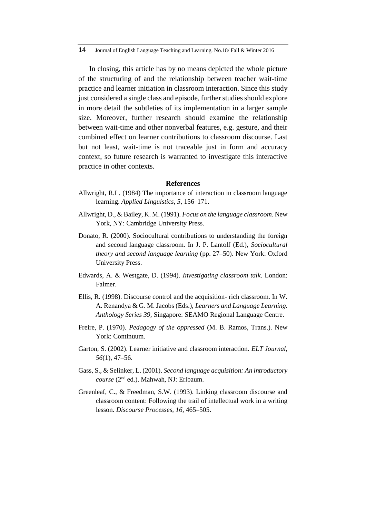In closing, this article has by no means depicted the whole picture of the structuring of and the relationship between teacher wait-time practice and learner initiation in classroom interaction. Since this study just considered a single class and episode, further studies should explore in more detail the subtleties of its implementation in a larger sample size. Moreover, further research should examine the relationship between wait-time and other nonverbal features, e.g. gesture, and their combined effect on learner contributions to classroom discourse. Last but not least, wait-time is not traceable just in form and accuracy context, so future research is warranted to investigate this interactive practice in other contexts.

#### **References**

- Allwright, R.L. (1984) The importance of interaction in classroom language learning. *Applied Linguistics*, *5*, 156–171.
- Allwright, D., & Bailey, K. M. (1991). *Focus on the language classroom*. New York, NY: Cambridge University Press.
- Donato, R. (2000). Sociocultural contributions to understanding the foreign and second language classroom. In J. P. Lantolf (Ed.), *Sociocultural theory and second language learning* (pp. 27–50). New York: Oxford University Press.
- Edwards, A. & Westgate, D. (1994). *Investigating classroom talk*. London: Falmer.
- Ellis, R. (1998). Discourse control and the acquisition- rich classroom. In W. A. Renandya & G. M. Jacobs (Eds.), *Learners and Language Learning. Anthology Series 39*, Singapore: SEAMO Regional Language Centre.
- Freire, P. (1970). *Pedagogy of the oppressed* (M. B. Ramos, Trans.). New York: Continuum.
- Garton, S. (2002). Learner initiative and classroom interaction. *ELT Journal, 56*(1), 47–56.
- Gass, S., & Selinker, L. (2001). *Second language acquisition: An introductory course* (2nd ed.). Mahwah, NJ: Erlbaum.
- Greenleaf, C., & Freedman, S.W. (1993). Linking classroom discourse and classroom content: Following the trail of intellectual work in a writing lesson. *Discourse Processes, 16,* 465–505.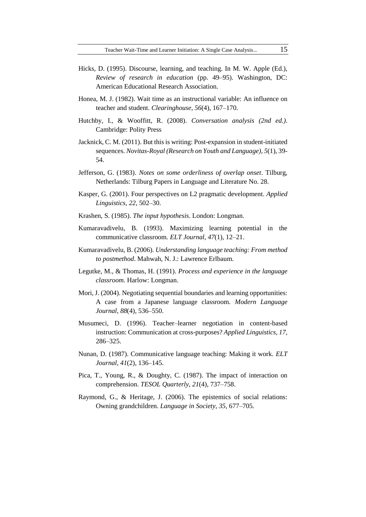- Hicks, D. (1995). Discourse, learning, and teaching. In M. W. Apple (Ed.), *Review of research in education* (pp. 49–95). Washington, DC: American Educational Research Association.
- Honea, M. J. (1982). Wait time as an instructional variable: An influence on teacher and student. *Clearinghouse*, *56*(4), 167–170.
- Hutchby, I., & Wooffitt, R. (2008). *Conversation analysis (2nd ed.)*. Cambridge: Polity Press
- Jacknick, C. M. (2011). But this is writing: Post-expansion in student-initiated sequences. *Novitas-Royal (Research on Youth and Language), 5*(1), 39- 54.
- Jefferson, G. (1983). *Notes on some orderliness of overlap onset*. Tilburg, Netherlands: Tilburg Papers in Language and Literature No. 28.
- Kasper, G. (2001). Four perspectives on L2 pragmatic development. *Applied Linguistics, 22*, 502–30.
- Krashen, S. (1985). *The input hypothesis*. London: Longman.
- Kumaravadivelu, B. (1993). Maximizing learning potential in the communicative classroom. *ELT Journal, 47*(1), 12–21.
- Kumaravadivelu, B. (2006). *Understanding language teaching: From method to postmethod*. Mahwah, N. J.: Lawrence Erlbaum.
- Legutke, M., & Thomas, H. (1991). *Process and experience in the language classroom.* Harlow: Longman.
- Mori, J. (2004). Negotiating sequential boundaries and learning opportunities: A case from a Japanese language classroom. *Modern Language Journal, 88*(4), 536–550.
- Musumeci, D. (1996). Teacher–learner negotiation in content-based instruction: Communication at cross-purposes? *Applied Linguistics, 17*, 286–325.
- Nunan, D. (1987). Communicative language teaching: Making it work. *ELT Journal, 41*(2), 136–145.
- Pica, T., Young, R., & Doughty, C. (1987). The impact of interaction on comprehension. *TESOL Quarterly*, *21*(4), 737–758.
- Raymond, G., & Heritage, J. (2006). The epistemics of social relations: Owning grandchildren. *Language in Society, 35*, 677–705.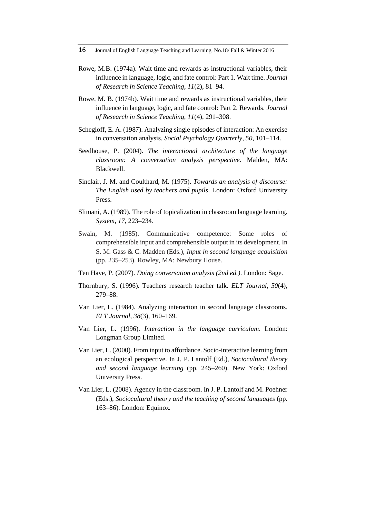- Rowe, M.B. (1974a). Wait time and rewards as instructional variables, their influence in language, logic, and fate control: Part 1. Wait time. *Journal of Research in Science Teaching*, *11*(2), 81–94.
- Rowe, M. B. (1974b). Wait time and rewards as instructional variables, their influence in language, logic, and fate control: Part 2. Rewards. *Journal of Research in Science Teaching*, *11*(4), 291–308.
- Schegloff, E. A. (1987). Analyzing single episodes of interaction: An exercise in conversation analysis. *Social Psychology Quarterly, 50*, 101–114.
- Seedhouse, P. (2004). *The interactional architecture of the language classroom: A conversation analysis perspective*. Malden, MA: Blackwell.
- Sinclair, J. M. and Coulthard, M. (1975). *Towards an analysis of discourse: The English used by teachers and pupils*. London: Oxford University Press.
- Slimani, A. (1989). The role of topicalization in classroom language learning. *System, 17*, 223–234.
- Swain, M. (1985). Communicative competence: Some roles of comprehensible input and comprehensible output in its development. In S. M. Gass & C. Madden (Eds.), *Input in second language acquisition*  (pp. 235–253). Rowley, MA: Newbury House.
- Ten Have, P. (2007). *Doing conversation analysis (2nd ed.)*. London: Sage.
- Thornbury, S. (1996). Teachers research teacher talk. *ELT Journal, 50*(4), 279–88.
- Van Lier, L. (1984). Analyzing interaction in second language classrooms. *ELT Journal*, *38*(3), 160–169.
- Van Lier, L. (1996). *Interaction in the language curriculum*. London: Longman Group Limited.
- Van Lier, L. (2000). From input to affordance. Socio-interactive learning from an ecological perspective. In J. P. Lantolf (Ed.), *Sociocultural theory and second language learning* (pp. 245–260). New York: Oxford University Press.
- Van Lier, L. (2008). Agency in the classroom. In J. P. Lantolf and M. Poehner (Eds.), *Sociocultural theory and the teaching of second languages* (pp. 163–86). London: Equinox.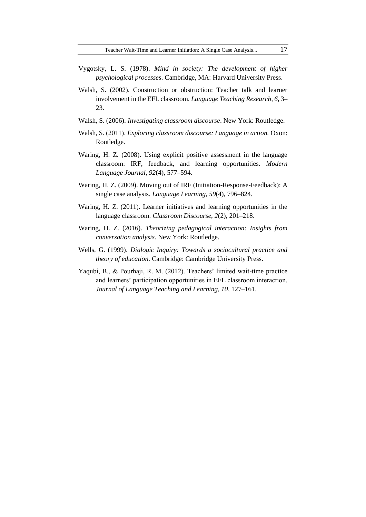- Vygotsky, L. S. (1978). *Mind in society: The development of higher psychological processes*. Cambridge, MA: Harvard University Press.
- Walsh, S. (2002). Construction or obstruction: Teacher talk and learner involvement in the EFL classroom. *Language Teaching Research*, *6*, 3– 23.
- Walsh, S. (2006). *Investigating classroom discourse*. New York: Routledge.
- Walsh, S. (2011). *Exploring classroom discourse: Language in action.* Oxon: Routledge.
- Waring, H. Z. (2008). Using explicit positive assessment in the language classroom: IRF, feedback, and learning opportunities. *Modern Language Journal, 92*(4), 577–594.
- Waring, H. Z. (2009). Moving out of IRF (Initiation-Response-Feedback): A single case analysis. *Language Learning, 59*(4), 796–824.
- Waring, H. Z. (2011). Learner initiatives and learning opportunities in the language classroom. *Classroom Discourse*, *2*(2), 201–218.
- Waring, H. Z. (2016). *Theorizing pedagogical interaction: Insights from conversation analysis.* New York: Routledge.
- Wells, G. (1999). *Dialogic Inquiry: Towards a sociocultural practice and theory of education*. Cambridge: Cambridge University Press.
- Yaqubi, B., & Pourhaji, R. M. (2012). Teachers' limited wait-time practice and learners' participation opportunities in EFL classroom interaction. *Journal of Language Teaching and Learning, 10*, 127–161.